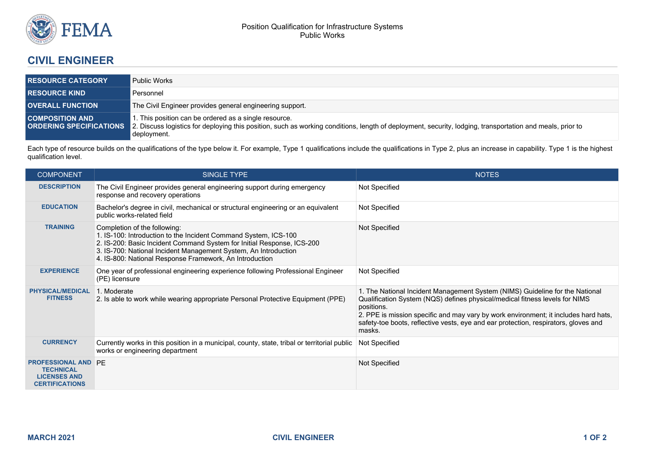

## **CIVIL ENGINEER**

| <b>RESOURCE CATEGORY</b> | <b>Public Works</b>                                                                                                                                                                                                                                             |  |
|--------------------------|-----------------------------------------------------------------------------------------------------------------------------------------------------------------------------------------------------------------------------------------------------------------|--|
| <b>RESOURCE KIND</b>     | Personnel                                                                                                                                                                                                                                                       |  |
| <b>OVERALL FUNCTION</b>  | The Civil Engineer provides general engineering support.                                                                                                                                                                                                        |  |
| <b>COMPOSITION AND</b>   | . This position can be ordered as a single resource.<br><b>ORDERING SPECIFICATIONS</b> 2. Discuss logistics for deploying this position, such as working conditions, length of deployment, security, lodging, transportation and meals, prior to<br>deployment. |  |

Each type of resource builds on the qualifications of the type below it. For example, Type 1 qualifications include the qualifications in Type 2, plus an increase in capability. Type 1 is the highest qualification level.

| <b>COMPONENT</b>                                                                               | SINGLE TYPE                                                                                                                                                                                                                                                                                             | <b>NOTES</b>                                                                                                                                                                                                                                                                                                                                                      |
|------------------------------------------------------------------------------------------------|---------------------------------------------------------------------------------------------------------------------------------------------------------------------------------------------------------------------------------------------------------------------------------------------------------|-------------------------------------------------------------------------------------------------------------------------------------------------------------------------------------------------------------------------------------------------------------------------------------------------------------------------------------------------------------------|
| <b>DESCRIPTION</b>                                                                             | The Civil Engineer provides general engineering support during emergency<br>response and recovery operations                                                                                                                                                                                            | Not Specified                                                                                                                                                                                                                                                                                                                                                     |
| <b>EDUCATION</b>                                                                               | Bachelor's degree in civil, mechanical or structural engineering or an equivalent<br>public works-related field                                                                                                                                                                                         | Not Specified                                                                                                                                                                                                                                                                                                                                                     |
| <b>TRAINING</b>                                                                                | Completion of the following:<br>1. IS-100: Introduction to the Incident Command System, ICS-100<br>2. IS-200: Basic Incident Command System for Initial Response, ICS-200<br>3. IS-700: National Incident Management System, An Introduction<br>4. IS-800: National Response Framework, An Introduction | Not Specified                                                                                                                                                                                                                                                                                                                                                     |
| <b>EXPERIENCE</b>                                                                              | One year of professional engineering experience following Professional Engineer<br>(PE) licensure                                                                                                                                                                                                       | Not Specified                                                                                                                                                                                                                                                                                                                                                     |
| <b>PHYSICAL/MEDICAL</b><br><b>FITNESS</b>                                                      | 1. Moderate<br>2. Is able to work while wearing appropriate Personal Protective Equipment (PPE)                                                                                                                                                                                                         | 1. The National Incident Management System (NIMS) Guideline for the National<br>Qualification System (NQS) defines physical/medical fitness levels for NIMS<br>positions.<br>2. PPE is mission specific and may vary by work environment; it includes hard hats,<br>safety-toe boots, reflective vests, eye and ear protection, respirators, gloves and<br>masks. |
| <b>CURRENCY</b>                                                                                | Currently works in this position in a municipal, county, state, tribal or territorial public<br>works or engineering department                                                                                                                                                                         | Not Specified                                                                                                                                                                                                                                                                                                                                                     |
| <b>PROFESSIONAL AND PE</b><br><b>TECHNICAL</b><br><b>LICENSES AND</b><br><b>CERTIFICATIONS</b> |                                                                                                                                                                                                                                                                                                         | Not Specified                                                                                                                                                                                                                                                                                                                                                     |